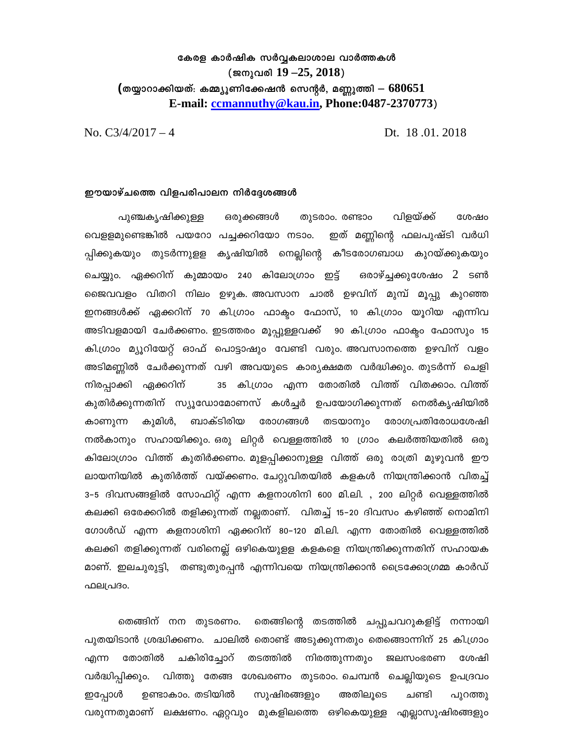## കേരള കാർഷിക സർവ്വകലാശാല വാർത്തകൾ (ജനുവരി  $19 - 25$ ,  $2018$ ) (തയ്യാറാക്കിയത്: കമ്മ്യൂണിക്കേഷൻ സെന്റർ, മണ്ണുത്തി —  $\rm 680651$ E-mail: ccmannuthy@kau.in, Phone:0487-2370773)

Dt. 18.01.2018

No.  $C\frac{3}{4}/\frac{2017-4}{4}$ 

## ഈയാഴ്ചത്തെ വിളപരിപാലന നിർദ്ദേശങ്ങൾ

പുഞ്ചകൃഷിക്കുള്ള ഒരുക്കങ്ങൾ തുടരാം. രണ്ടാം വിളയ്ക്ക് ശേഷം വെളളമുണ്ടെങ്കിൽ പയറോ പച്ചക്കറിയോ നടാം. ഇത് മണ്ണിന്റെ ഫലപുഷ്ടി വർധി പ്പിക്കുകയും തുടർന്നുളള കൃഷിയിൽ നെല്ലിന്റെ കീടരോഗബാധ കുറയ്ക്കുകയും ഒരാഴ്ച്ചക്കുശേഷം  $2$  ടൺ ചെയ്യും. ഏക്കറിന് കുമ്മായം 240 കിലോഗ്രാം ഇട്ട് ജൈവവളം വിതറി നിലം ഉഴുക. അവസാന ചാൽ ഉഴവിന് മുമ്പ് മൂപ്പു കുറഞ്ഞ ഇനങ്ങൾക്ക് ഏക്കറിന് 70 കി.ഗ്രാം ഫാക്ടം ഫോസ്, 10 കി.ഗ്രാം യൂറിയ എന്നിവ അടിവളമായി ചേർക്കണം. ഇടത്തരം മൂപ്പുള്ളവക്ക്  $\,$  90 കി.ഗ്രാം ഫാക്ടം ഫോസും 15 കി.ഗ്രാം മ്യൂറിയേറ്റ് ഓഫ് പൊട്ടാഷും വേണ്ടി വരും. അവസാനത്തെ ഉഴവിന് വളം അടിമണ്ണിൽ ചേർക്കുന്നത് വഴി അവയുടെ കാര്യക്ഷമത വർദ്ധിക്കും. തുടർന്ന് ചെളി 35 കി.ഗ്രാം എന്ന തോതിൽ വിത്ത് വിതക്കാം. വിത്ത് നിരപ്പാക്കി ഏക്കറിന് കുതിർക്കുന്നതിന് സ്യൂഡോമോണസ് കൾച്ചർ ഉപയോഗിക്കുന്നത് നെൽകൃഷിയിൽ കുമിൾ, ബാക്ടിരിയ കാണുന്ന രോഗങ്ങൾ തടയാനും രോഗപ്രതിരോധശേഷി നൽകാനും സഹായിക്കും ഒരു ലിറ്റർ വെള്ളത്തിൽ 10 ഗ്രാം കലർത്തിയതിൽ ഒരു കിലോഗ്രാം വിത്ത് കുതിർക്കണം. മുളപ്പിക്കാനുള്ള വിത്ത് ഒരു രാത്രി മുഴുവൻ ഈ ലായനിയിൽ കുതിർത്ത് വയ്ക്കണം. ചേറ്റുവിതയിൽ കളകൾ നിയന്ത്രിക്കാൻ വിതച്ച് 3–5 ദിവസങ്ങളിൽ സോഫിറ്റ് എന്ന കളനാശിനി 600 മി.ലി. , 200 ലിറ്റർ വെള്ളത്തിൽ കലക്കി ഒരേക്കറിൽ തളിക്കുന്നത് നല്ലതാണ്. വിതച്ച് 15–20 ദിവസം കഴിഞ്ഞ് നൊമിനി ഗോൾഡ് എന്ന കളനാശിനി ഏക്കറിന് 80–120 മി.ലി. എന്ന തോതിൽ വെള്ളത്തിൽ കലക്കി തളിക്കുന്നത് വരിനെല്ല് ഒഴികെയുളള കളകളെ നിയന്ത്രിക്കുന്നതിന് സഹായക മാണ്. ഇലചുരുട്ടി, തണ്ടുതുരപ്പൻ എന്നിവയെ നിയന്ത്രിക്കാൻ ട്രൈക്കോഗ്രമ്മ കാർഡ് ഫലപ്രദം.

തെങ്ങിന് നന തുടരണം. തെങ്ങിന്റെ തടത്തിൽ ചപ്പുചവറുകളിട്ട് നന്നായി പുതയിടാൻ ശ്രദ്ധിക്കണം. ചാലിൽ തൊണ്ട് അടുക്കുന്നതും തെങ്ങൊന്നിന് 25 കി.ഗ്രാം തോതിൽ ചകിരിച്ചോറ് തടത്തിൽ എന്ന നിരത്തുന്നതും ജലസംഭരണ ശേഷി വർദ്ധിപ്പിക്കും. വിത്തു തേങ്ങ ശേഖരണം തുടരാം ചെമ്പൻ ചെല്ലിയുടെ ഉപദ്രവം ഇപ്പോൾ ഉണ്ടാകാം. തടിയിൽ സുഷിരങ്ങളും അതിലൂടെ ചണ്ടി പുറത്തു വരുന്നതുമാണ് ലക്ഷണം. ഏറ്റവും മുകളിലത്തെ ഒഴികെയുള്ള എല്ലാസുഷിരങ്ങളും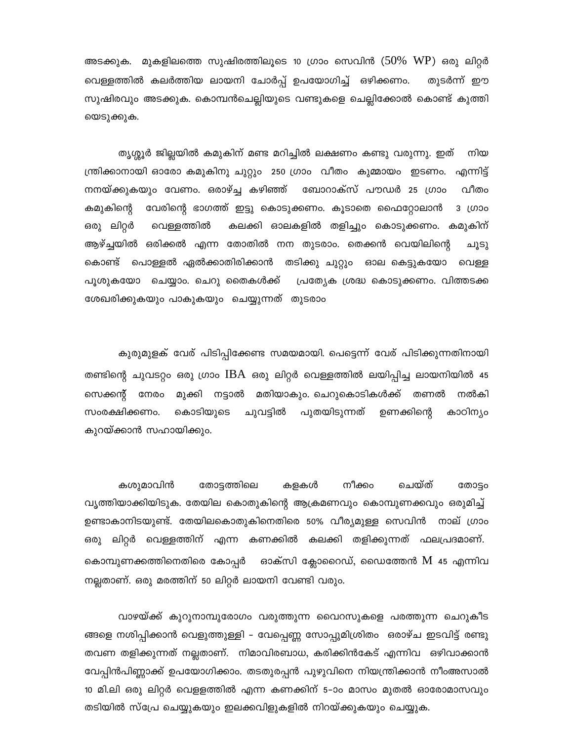മുകളിലത്തെ സുഷിരത്തിലൂടെ 10 ഗ്രാം സെവിൻ ( $50\%$  WP) ഒരു ലിറ്റർ അടക്കുക. വെള്ളത്തിൽ കലർത്തിയ ലായനി ചോർപ്പ് ഉപയോഗിച്ച് ഒഴിക്കണം. തുടർന്ന് ഈ സുഷിരവും അടക്കുക. കൊമ്പൻചെല്ലിയുടെ വണ്ടുകളെ ചെല്ലിക്കോൽ കൊണ്ട് കുത്തി യെടുക്കുക.

തൃശ്ശൂർ ജില്ലയിൽ കമുകിന് മണ്ട മറിച്ചിൽ ലക്ഷണം കണ്ടു വരുന്നു. ഇത് നിയ ന്ത്രിക്കാനായി ഓരോ കമുകിനു ചുറ്റും 250 ഗ്രാം വീതം കുമ്മായം ഇടണം. എന്നിട്ട് വീതം നനയ്ക്കുകയും വേണം. ഒരാഴ്ച്ച കഴിഞ്ഞ് ബോറാക്സ് പൗഡർ 25 ഗ്രാം കമുകിന്റെ വേരിന്റെ ഭാഗത്ത് ഇട്ടു കൊടുക്കണം. കൂടാതെ ഫൈറ്റോലാൻ 3 (000 കലക്കി ഓലകളിൽ തളിച്ചും കൊടുക്കണം. കമുകിന് ഒരു ലിറ്റർ വെള്ളത്തിൽ ആഴ്ച്ചയിൽ ഒരിക്കൽ എന്ന തോതിൽ നന തുടരാം. തെക്കൻ വെയിലിന്റെ ചൂടു കൊണ്ട് പൊള്ളൽ ഏൽക്കാതിരിക്കാൻ തടിക്കു ചുറ്റും ഓല കെട്ടുകയോ വെള്ള പൂശുകയോ ചെയ്യാം. ചെറു തൈകൾക്ക് പ്രത്യേക ശ്രദ്ധ കൊടുക്കണം. വിത്തടക്ക ശേഖരിക്കുകയും പാകുകയും ചെയ്യുന്നത് തുടരാം

കുരുമുളക് വേര് പിടിപ്പിക്കേണ്ട സമയമായി. പെട്ടെന്ന് വേര് പിടിക്കുന്നതിനായി തണ്ടിന്റെ ചുവടറ്റം ഒരു ഗ്രാം  $\text{IBA}$  ഒരു ലിറ്റർ വെള്ളത്തിൽ ലയിപ്പിച്ച ലായനിയിൽ 45 സെക്കന്റ് നേരം മുക്കി നട്ടാൽ മതിയാകും. ചെറുകൊടികൾക്ക് തണൽ നൽകി കാഠിന്യം സംരക്ഷിക്കണം. കൊടിയുടെ ചുവട്ടിൽ പുതയിടുന്നത് ഉണക്കിന്റെ കുറയ്ക്കാൻ സഹായിക്കും.

കശുമാവിൻ ചെയ്ത് തോട്ടം നീക്കം തോട്ടത്തിലെ കളകൾ വൃത്തിയാക്കിയിടുക. തേയില കൊതുകിന്റെ ആക്രമണവും കൊമ്പുണക്കവും ഒരുമിച്ച് ഉണ്ടാകാനിടയുണ്ട്. തേയിലകൊതുകിനെതിരെ 50% വീര്യമുള്ള സെവിൻ നാല് ഗ്രാം ഒരു ലിറ്റർ വെള്ളത്തിന് എന്ന കണക്കിൽ കലക്കി തളിക്കുന്നത് ഫലപ്രദമാണ്. കൊമ്പുണക്കത്തിനെതിരെ കോപ്പർ ഓക്സി ക്ലോറൈഡ്, ഡൈത്തേൻ  $\bm{\mathrm{M}}$  45 എന്നിവ നല്ലതാണ്. ഒരു മരത്തിന് 50 ലിറ്റർ ലായനി വേണ്ടി വരും.

വാഴയ്ക്ക് കുറുനാമ്പുരോഗം വരുത്തുന്ന വൈറസുകളെ പരത്തുന്ന ചെറുകീട ങ്ങളെ നശിപ്പിക്കാൻ വെളുത്തുള്ളി – വേപ്പെണ്ണ സോപ്പുമിശ്രിതം ഒരാഴ്ച ഇടവിട്ട് രണ്ടു തവണ തളിക്കുന്നത് നല്ലതാണ്. നിമാവിരബാധ, കരിക്കിൻകേട് എന്നിവ ഒഴിവാക്കാൻ വേപ്പിൻപിണ്ണാക്ക് ഉപയോഗിക്കാം. തടതുരപ്പൻ പുഴുവിനെ നിയന്ത്രിക്കാൻ നീംഅസാൽ 10 മി.ലി ഒരു ലിറ്റർ വെളളത്തിൽ എന്ന കണക്കിന് 5–ാം മാസം മുതൽ ഓരോമാസവും തടിയിൽ സ്പ്രേ ചെയ്യുകയും ഇലക്കവിളുകളിൽ നിറയ്ക്കുകയും ചെയ്യുക.